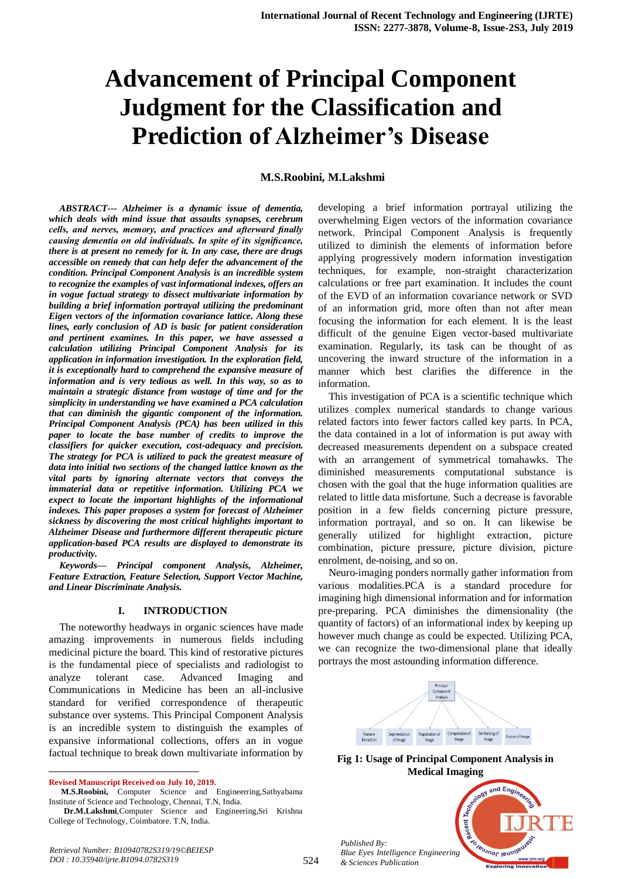# **Advancement of Principal Component Judgment for the Classification and Prediction of Alzheimer's Disease**

## **M.S.Roobini, M.Lakshmi**

*ABSTRACT--- Alzheimer is a dynamic issue of dementia, which deals with mind issue that assaults synapses, cerebrum cells, and nerves, memory, and practices and afterward finally causing dementia on old individuals. In spite of its significance, there is at present no remedy for it. In any case, there are drugs accessible on remedy that can help defer the advancement of the condition. Principal Component Analysis is an incredible system to recognize the examples of vast informational indexes, offers an in vogue factual strategy to dissect multivariate information by building a brief information portrayal utilizing the predominant Eigen vectors of the information covariance lattice. Along these lines, early conclusion of AD is basic for patient consideration and pertinent examines. In this paper, we have assessed a calculation utilizing Principal Component Analysis for its application in information investigation. In the exploration field, it is exceptionally hard to comprehend the expansive measure of information and is very tedious as well. In this way, so as to maintain a strategic distance from wastage of time and for the simplicity in understanding we have examined a PCA calculation that can diminish the gigantic component of the information. Principal Component Analysis (PCA) has been utilized in this paper to locate the base number of credits to improve the classifiers for quicker execution, cost-adequacy and precision. The strategy for PCA is utilized to pack the greatest measure of data into initial two sections of the changed lattice known as the vital parts by ignoring alternate vectors that conveys the immaterial data or repetitive information. Utilizing PCA we expect to locate the important highlights of the informational indexes. This paper proposes a system for forecast of Alzheimer sickness by discovering the most critical highlights important to Alzheimer Disease and furthermore different therapeutic picture application-based PCA results are displayed to demonstrate its productivity.*

*Keywords— Principal component Analysis, Alzheimer, Feature Extraction, Feature Selection, Support Vector Machine, and Linear Discriminate Analysis.*

#### **I. INTRODUCTION**

The noteworthy headways in organic sciences have made amazing improvements in numerous fields including medicinal picture the board. This kind of restorative pictures is the fundamental piece of specialists and radiologist to analyze tolerant case. Advanced Imaging and Communications in Medicine has been an all-inclusive standard for verified correspondence of therapeutic substance over systems. This Principal Component Analysis is an incredible system to distinguish the examples of expansive informational collections, offers an in vogue factual technique to break down multivariate information by

**Revised Manuscript Received on July 10, 2019.**

 $\overline{a}$ 

developing a brief information portrayal utilizing the overwhelming Eigen vectors of the information covariance network. Principal Component Analysis is frequently utilized to diminish the elements of information before applying progressively modern information investigation techniques, for example, non-straight characterization calculations or free part examination. It includes the count of the EVD of an information covariance network or SVD of an information grid, more often than not after mean focusing the information for each element. It is the least difficult of the genuine Eigen vector-based multivariate examination. Regularly, its task can be thought of as uncovering the inward structure of the information in a manner which best clarifies the difference in the information.

This investigation of PCA is a scientific technique which utilizes complex numerical standards to change various related factors into fewer factors called key parts. In PCA, the data contained in a lot of information is put away with decreased measurements dependent on a subspace created with an arrangement of symmetrical tomahawks. The diminished measurements computational substance is chosen with the goal that the huge information qualities are related to little data misfortune. Such a decrease is favorable position in a few fields concerning picture pressure, information portrayal, and so on. It can likewise be generally utilized for highlight extraction, picture combination, picture pressure, picture division, picture enrolment, de-noising, and so on.

Neuro-imaging ponders normally gather information from various modalities.PCA is a standard procedure for imagining high dimensional information and for information pre-preparing. PCA diminishes the dimensionality (the quantity of factors) of an informational index by keeping up however much change as could be expected. Utilizing PCA, we can recognize the two-dimensional plane that ideally portrays the most astounding information difference.



**Fig 1: Usage of Principal Component Analysis in Medical Imaging**

*Published By: Blue Eyes Intelligence Engineering & Sciences Publication* 



**M.S.Roobini,** Computer Science and Engineerring,Sathyabama Institute of Science and Technology, Chennai, T.N, India.

**Dr.M.Lakshmi**,Computer Science and Engineering,Sri Krishna College of Technology, Coimbatore. T.N, India.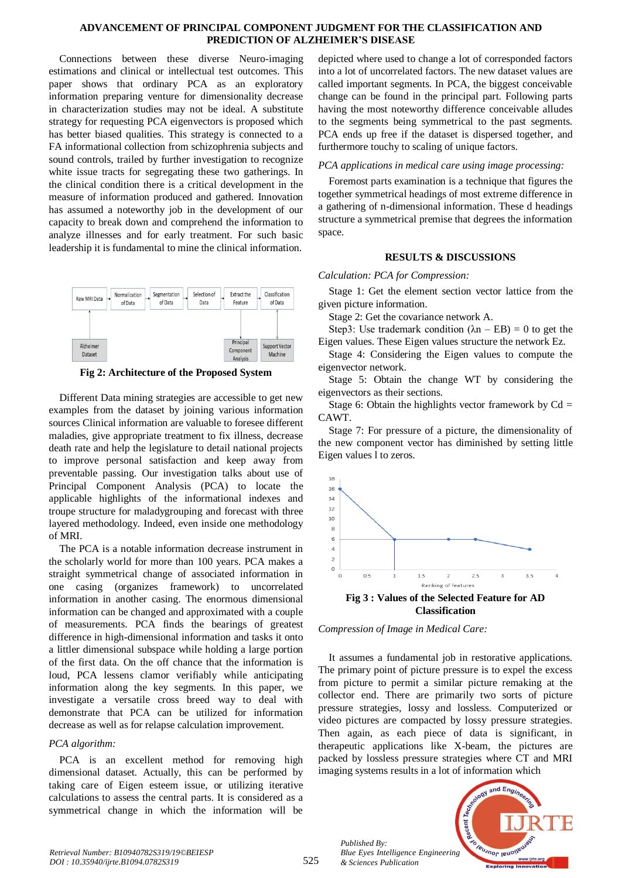#### **ADVANCEMENT OF PRINCIPAL COMPONENT JUDGMENT FOR THE CLASSIFICATION AND PREDICTION OF ALZHEIMER'S DISEASE**

Connections between these diverse Neuro-imaging estimations and clinical or intellectual test outcomes. This paper shows that ordinary PCA as an exploratory information preparing venture for dimensionality decrease in characterization studies may not be ideal. A substitute strategy for requesting PCA eigenvectors is proposed which has better biased qualities. This strategy is connected to a FA informational collection from schizophrenia subjects and sound controls, trailed by further investigation to recognize white issue tracts for segregating these two gatherings. In the clinical condition there is a critical development in the measure of information produced and gathered. Innovation has assumed a noteworthy job in the development of our capacity to break down and comprehend the information to analyze illnesses and for early treatment. For such basic leadership it is fundamental to mine the clinical information.



**Fig 2: Architecture of the Proposed System**

Different Data mining strategies are accessible to get new examples from the dataset by joining various information sources Clinical information are valuable to foresee different maladies, give appropriate treatment to fix illness, decrease death rate and help the legislature to detail national projects to improve personal satisfaction and keep away from preventable passing. Our investigation talks about use of Principal Component Analysis (PCA) to locate the applicable highlights of the informational indexes and troupe structure for maladygrouping and forecast with three layered methodology. Indeed, even inside one methodology of MRI.

The PCA is a notable information decrease instrument in the scholarly world for more than 100 years. PCA makes a straight symmetrical change of associated information in one casing (organizes framework) to uncorrelated information in another casing. The enormous dimensional information can be changed and approximated with a couple of measurements. PCA finds the bearings of greatest difference in high-dimensional information and tasks it onto a littler dimensional subspace while holding a large portion of the first data. On the off chance that the information is loud, PCA lessens clamor verifiably while anticipating information along the key segments. In this paper, we investigate a versatile cross breed way to deal with demonstrate that PCA can be utilized for information decrease as well as for relapse calculation improvement.

# *PCA algorithm:*

PCA is an excellent method for removing high dimensional dataset. Actually, this can be performed by taking care of Eigen esteem issue, or utilizing iterative calculations to assess the central parts. It is considered as a symmetrical change in which the information will be

depicted where used to change a lot of corresponded factors into a lot of uncorrelated factors. The new dataset values are called important segments. In PCA, the biggest conceivable change can be found in the principal part. Following parts having the most noteworthy difference conceivable alludes to the segments being symmetrical to the past segments. PCA ends up free if the dataset is dispersed together, and furthermore touchy to scaling of unique factors.

# *PCA applications in medical care using image processing:*

Foremost parts examination is a technique that figures the together symmetrical headings of most extreme difference in a gathering of n-dimensional information. These d headings structure a symmetrical premise that degrees the information space.

# **RESULTS & DISCUSSIONS**

## *Calculation: PCA for Compression:*

Stage 1: Get the element section vector lattice from the given picture information.

Stage 2: Get the covariance network A.

Step3: Use trademark condition  $(\lambda n - EB) = 0$  to get the Eigen values. These Eigen values structure the network Ez.

Stage 4: Considering the Eigen values to compute the eigenvector network.

Stage 5: Obtain the change WT by considering the eigenvectors as their sections.

Stage 6: Obtain the highlights vector framework by  $Cd =$ CAWT.

Stage 7: For pressure of a picture, the dimensionality of the new component vector has diminished by setting little Eigen values l to zeros.





It assumes a fundamental job in restorative applications. The primary point of picture pressure is to expel the excess from picture to permit a similar picture remaking at the collector end. There are primarily two sorts of picture pressure strategies, lossy and lossless. Computerized or video pictures are compacted by lossy pressure strategies. Then again, as each piece of data is significant, in therapeutic applications like X-beam, the pictures are packed by lossless pressure strategies where CT and MRI imaging systems results in a lot of information which

*Published By: Blue Eyes Intelligence Engineering & Sciences Publication* 

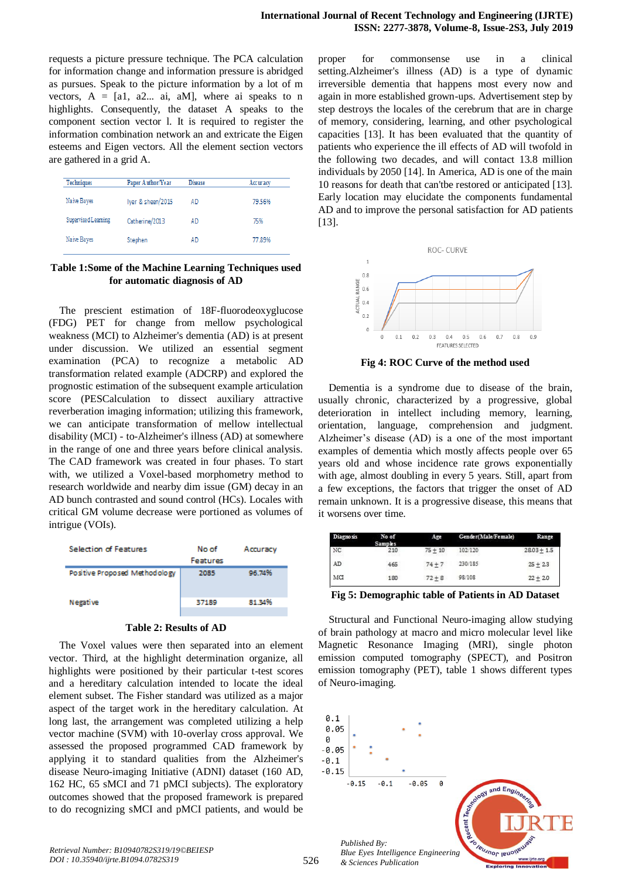requests a picture pressure technique. The PCA calculation for information change and information pressure is abridged as pursues. Speak to the picture information by a lot of m vectors,  $A = [a1, a2... ai, aM]$ , where ai speaks to n highlights. Consequently, the dataset A speaks to the component section vector l. It is required to register the information combination network an and extricate the Eigen esteems and Eigen vectors. All the element section vectors are gathered in a grid A.

| <b>Techniques</b>   | Paper Author/Year | <b>Disease</b> | Accuracy |
|---------------------|-------------------|----------------|----------|
| Naive Bayes         | Iyer & sheen/2015 | AD             | 79.56%   |
| Supervised Learning | Catherine/2013    | AD             | 75%      |
| Naive Bayes         | Stephen           | AD             | 77.89%   |

**Table 1:Some of the Machine Learning Techniques used for automatic diagnosis of AD**

The prescient estimation of 18F-fluorodeoxyglucose (FDG) PET for change from mellow psychological weakness (MCI) to Alzheimer's dementia (AD) is at present under discussion. We utilized an essential segment examination (PCA) to recognize a metabolic AD transformation related example (ADCRP) and explored the prognostic estimation of the subsequent example articulation score (PESCalculation to dissect auxiliary attractive reverberation imaging information; utilizing this framework, we can anticipate transformation of mellow intellectual disability (MCI) - to-Alzheimer's illness (AD) at somewhere in the range of one and three years before clinical analysis. The CAD framework was created in four phases. To start with, we utilized a Voxel-based morphometry method to research worldwide and nearby dim issue (GM) decay in an AD bunch contrasted and sound control (HCs). Locales with critical GM volume decrease were portioned as volumes of intrigue (VOIs).





The Voxel values were then separated into an element vector. Third, at the highlight determination organize, all highlights were positioned by their particular t-test scores and a hereditary calculation intended to locate the ideal element subset. The Fisher standard was utilized as a major aspect of the target work in the hereditary calculation. At long last, the arrangement was completed utilizing a help vector machine (SVM) with 10-overlay cross approval. We assessed the proposed programmed CAD framework by applying it to standard qualities from the Alzheimer's disease Neuro-imaging Initiative (ADNI) dataset (160 AD, 162 HC, 65 sMCI and 71 pMCI subjects). The exploratory outcomes showed that the proposed framework is prepared to do recognizing sMCI and pMCI patients, and would be

proper for commonsense use in a clinical setting.Alzheimer's illness (AD) is a type of dynamic irreversible dementia that happens most every now and again in more established grown-ups. Advertisement step by step destroys the locales of the cerebrum that are in charge of memory, considering, learning, and other psychological capacities [13]. It has been evaluated that the quantity of patients who experience the ill effects of AD will twofold in the following two decades, and will contact 13.8 million individuals by 2050 [14]. In America, AD is one of the main 10 reasons for death that can'tbe restored or anticipated [13]. Early location may elucidate the components fundamental AD and to improve the personal satisfaction for AD patients [13].



**Fig 4: ROC Curve of the method used**

Dementia is a syndrome due to disease of the brain, usually chronic, characterized by a progressive, global deterioration in intellect including memory, learning, orientation, language, comprehension and judgment. Alzheimer's disease (AD) is a one of the most important examples of dementia which mostly affects people over 65 years old and whose incidence rate grows exponentially with age, almost doubling in every 5 years. Still, apart from a few exceptions, the factors that trigger the onset of AD remain unknown. It is a progressive disease, this means that it worsens over time.

| Diagnosis | No of<br><b>Samples</b> | Age       | Gender(Male/Female) | Range         |
|-----------|-------------------------|-----------|---------------------|---------------|
| NC        | 210                     | $75 + 10$ | 102/120             | $28.03 + 1.5$ |
| AD        | 465                     | $74 + 7$  | 230/185             | $25 + 23$     |
| MCI       | 180                     | $72 + 8$  | 98/108              | $22 + 20$     |

**Fig 5: Demographic table of Patients in AD Dataset**

Structural and Functional Neuro-imaging allow studying of brain pathology at macro and micro molecular level like Magnetic Resonance Imaging (MRI), single photon emission computed tomography (SPECT), and Positron emission tomography (PET), table 1 shows different types of Neuro-imaging.

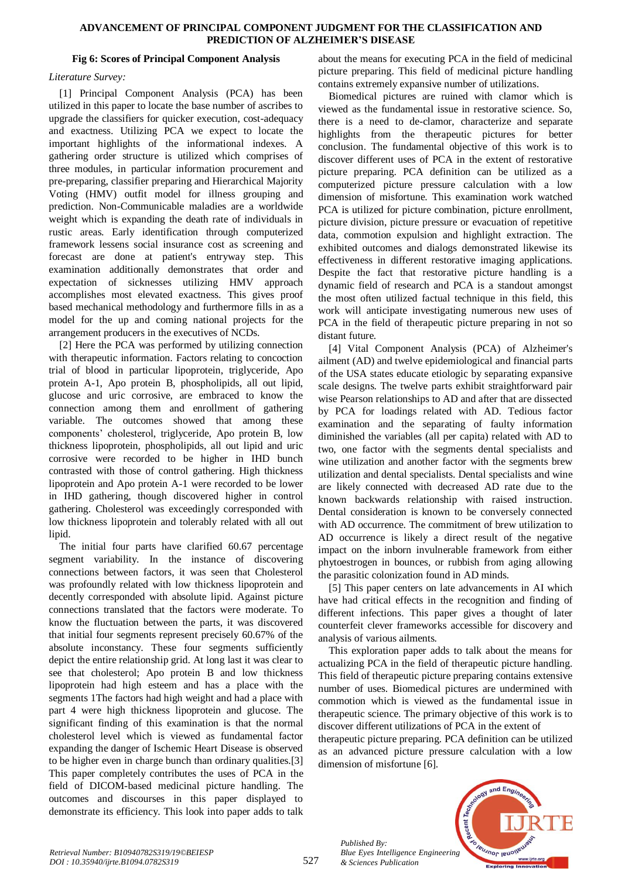#### **ADVANCEMENT OF PRINCIPAL COMPONENT JUDGMENT FOR THE CLASSIFICATION AND PREDICTION OF ALZHEIMER'S DISEASE**

## **Fig 6: Scores of Principal Component Analysis**

## *Literature Survey:*

[1] Principal Component Analysis (PCA) has been utilized in this paper to locate the base number of ascribes to upgrade the classifiers for quicker execution, cost-adequacy and exactness. Utilizing PCA we expect to locate the important highlights of the informational indexes. A gathering order structure is utilized which comprises of three modules, in particular information procurement and pre-preparing, classifier preparing and Hierarchical Majority Voting (HMV) outfit model for illness grouping and prediction. Non-Communicable maladies are a worldwide weight which is expanding the death rate of individuals in rustic areas. Early identification through computerized framework lessens social insurance cost as screening and forecast are done at patient's entryway step. This examination additionally demonstrates that order and expectation of sicknesses utilizing HMV approach accomplishes most elevated exactness. This gives proof based mechanical methodology and furthermore fills in as a model for the up and coming national projects for the arrangement producers in the executives of NCDs.

[2] Here the PCA was performed by utilizing connection with therapeutic information. Factors relating to concoction trial of blood in particular lipoprotein, triglyceride, Apo protein A-1, Apo protein B, phospholipids, all out lipid, glucose and uric corrosive, are embraced to know the connection among them and enrollment of gathering variable. The outcomes showed that among these components' cholesterol, triglyceride, Apo protein B, low thickness lipoprotein, phospholipids, all out lipid and uric corrosive were recorded to be higher in IHD bunch contrasted with those of control gathering. High thickness lipoprotein and Apo protein A-1 were recorded to be lower in IHD gathering, though discovered higher in control gathering. Cholesterol was exceedingly corresponded with low thickness lipoprotein and tolerably related with all out lipid.

The initial four parts have clarified 60.67 percentage segment variability. In the instance of discovering connections between factors, it was seen that Cholesterol was profoundly related with low thickness lipoprotein and decently corresponded with absolute lipid. Against picture connections translated that the factors were moderate. To know the fluctuation between the parts, it was discovered that initial four segments represent precisely 60.67% of the absolute inconstancy. These four segments sufficiently depict the entire relationship grid. At long last it was clear to see that cholesterol; Apo protein B and low thickness lipoprotein had high esteem and has a place with the segments 1The factors had high weight and had a place with part 4 were high thickness lipoprotein and glucose. The significant finding of this examination is that the normal cholesterol level which is viewed as fundamental factor expanding the danger of Ischemic Heart Disease is observed to be higher even in charge bunch than ordinary qualities.[3] This paper completely contributes the uses of PCA in the field of DICOM-based medicinal picture handling. The outcomes and discourses in this paper displayed to demonstrate its efficiency. This look into paper adds to talk

about the means for executing PCA in the field of medicinal picture preparing. This field of medicinal picture handling contains extremely expansive number of utilizations.

Biomedical pictures are ruined with clamor which is viewed as the fundamental issue in restorative science. So, there is a need to de-clamor, characterize and separate highlights from the therapeutic pictures for better conclusion. The fundamental objective of this work is to discover different uses of PCA in the extent of restorative picture preparing. PCA definition can be utilized as a computerized picture pressure calculation with a low dimension of misfortune. This examination work watched PCA is utilized for picture combination, picture enrollment, picture division, picture pressure or evacuation of repetitive data, commotion expulsion and highlight extraction. The exhibited outcomes and dialogs demonstrated likewise its effectiveness in different restorative imaging applications. Despite the fact that restorative picture handling is a dynamic field of research and PCA is a standout amongst the most often utilized factual technique in this field, this work will anticipate investigating numerous new uses of PCA in the field of therapeutic picture preparing in not so distant future.

[4] Vital Component Analysis (PCA) of Alzheimer's ailment (AD) and twelve epidemiological and financial parts of the USA states educate etiologic by separating expansive scale designs. The twelve parts exhibit straightforward pair wise Pearson relationships to AD and after that are dissected by PCA for loadings related with AD. Tedious factor examination and the separating of faulty information diminished the variables (all per capita) related with AD to two, one factor with the segments dental specialists and wine utilization and another factor with the segments brew utilization and dental specialists. Dental specialists and wine are likely connected with decreased AD rate due to the known backwards relationship with raised instruction. Dental consideration is known to be conversely connected with AD occurrence. The commitment of brew utilization to AD occurrence is likely a direct result of the negative impact on the inborn invulnerable framework from either phytoestrogen in bounces, or rubbish from aging allowing the parasitic colonization found in AD minds.

[5] This paper centers on late advancements in AI which have had critical effects in the recognition and finding of different infections. This paper gives a thought of later counterfeit clever frameworks accessible for discovery and analysis of various ailments.

This exploration paper adds to talk about the means for actualizing PCA in the field of therapeutic picture handling. This field of therapeutic picture preparing contains extensive number of uses. Biomedical pictures are undermined with commotion which is viewed as the fundamental issue in therapeutic science. The primary objective of this work is to discover different utilizations of PCA in the extent of

therapeutic picture preparing. PCA definition can be utilized as an advanced picture pressure calculation with a low dimension of misfortune [6].

accent Teck **Veuanor lenoir** *Blue Eyes Intelligence Engineering & Sciences Publication* 



*Published By:*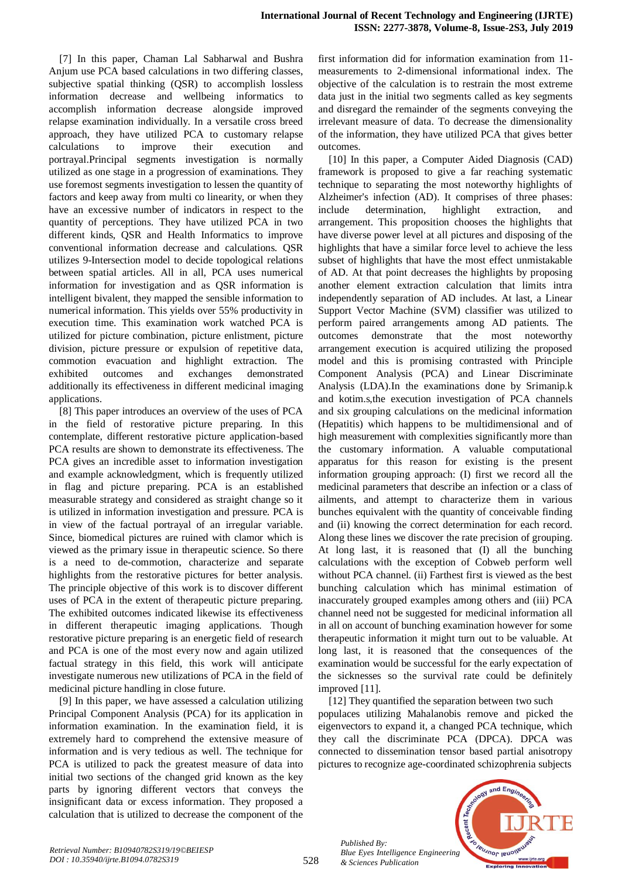[7] In this paper, Chaman Lal Sabharwal and Bushra Anjum use PCA based calculations in two differing classes, subjective spatial thinking (QSR) to accomplish lossless information decrease and wellbeing informatics to accomplish information decrease alongside improved relapse examination individually. In a versatile cross breed approach, they have utilized PCA to customary relapse calculations to improve their execution and portrayal.Principal segments investigation is normally utilized as one stage in a progression of examinations. They use foremost segments investigation to lessen the quantity of factors and keep away from multi co linearity, or when they have an excessive number of indicators in respect to the quantity of perceptions. They have utilized PCA in two different kinds, QSR and Health Informatics to improve conventional information decrease and calculations. QSR utilizes 9-Intersection model to decide topological relations between spatial articles. All in all, PCA uses numerical information for investigation and as QSR information is intelligent bivalent, they mapped the sensible information to numerical information. This yields over 55% productivity in execution time. This examination work watched PCA is utilized for picture combination, picture enlistment, picture division, picture pressure or expulsion of repetitive data, commotion evacuation and highlight extraction. The exhibited outcomes and exchanges demonstrated additionally its effectiveness in different medicinal imaging applications.

[8] This paper introduces an overview of the uses of PCA in the field of restorative picture preparing. In this contemplate, different restorative picture application-based PCA results are shown to demonstrate its effectiveness. The PCA gives an incredible asset to information investigation and example acknowledgment, which is frequently utilized in flag and picture preparing. PCA is an established measurable strategy and considered as straight change so it is utilized in information investigation and pressure. PCA is in view of the factual portrayal of an irregular variable. Since, biomedical pictures are ruined with clamor which is viewed as the primary issue in therapeutic science. So there is a need to de-commotion, characterize and separate highlights from the restorative pictures for better analysis. The principle objective of this work is to discover different uses of PCA in the extent of therapeutic picture preparing. The exhibited outcomes indicated likewise its effectiveness in different therapeutic imaging applications. Though restorative picture preparing is an energetic field of research and PCA is one of the most every now and again utilized factual strategy in this field, this work will anticipate investigate numerous new utilizations of PCA in the field of medicinal picture handling in close future.

[9] In this paper, we have assessed a calculation utilizing Principal Component Analysis (PCA) for its application in information examination. In the examination field, it is extremely hard to comprehend the extensive measure of information and is very tedious as well. The technique for PCA is utilized to pack the greatest measure of data into initial two sections of the changed grid known as the key parts by ignoring different vectors that conveys the insignificant data or excess information. They proposed a calculation that is utilized to decrease the component of the

first information did for information examination from 11 measurements to 2-dimensional informational index. The objective of the calculation is to restrain the most extreme data just in the initial two segments called as key segments and disregard the remainder of the segments conveying the irrelevant measure of data. To decrease the dimensionality of the information, they have utilized PCA that gives better outcomes.

[10] In this paper, a Computer Aided Diagnosis (CAD) framework is proposed to give a far reaching systematic technique to separating the most noteworthy highlights of Alzheimer's infection (AD). It comprises of three phases: include determination, highlight extraction, and arrangement. This proposition chooses the highlights that have diverse power level at all pictures and disposing of the highlights that have a similar force level to achieve the less subset of highlights that have the most effect unmistakable of AD. At that point decreases the highlights by proposing another element extraction calculation that limits intra independently separation of AD includes. At last, a Linear Support Vector Machine (SVM) classifier was utilized to perform paired arrangements among AD patients. The outcomes demonstrate that the most noteworthy arrangement execution is acquired utilizing the proposed model and this is promising contrasted with Principle Component Analysis (PCA) and Linear Discriminate Analysis (LDA).In the examinations done by Srimanip.k and kotim.s,the execution investigation of PCA channels and six grouping calculations on the medicinal information (Hepatitis) which happens to be multidimensional and of high measurement with complexities significantly more than the customary information. A valuable computational apparatus for this reason for existing is the present information grouping approach: (I) first we record all the medicinal parameters that describe an infection or a class of ailments, and attempt to characterize them in various bunches equivalent with the quantity of conceivable finding and (ii) knowing the correct determination for each record. Along these lines we discover the rate precision of grouping. At long last, it is reasoned that (I) all the bunching calculations with the exception of Cobweb perform well without PCA channel. (ii) Farthest first is viewed as the best bunching calculation which has minimal estimation of inaccurately grouped examples among others and (iii) PCA channel need not be suggested for medicinal information all in all on account of bunching examination however for some therapeutic information it might turn out to be valuable. At long last, it is reasoned that the consequences of the examination would be successful for the early expectation of the sicknesses so the survival rate could be definitely improved [11].

[12] They quantified the separation between two such populaces utilizing Mahalanobis remove and picked the eigenvectors to expand it, a changed PCA technique, which they call the discriminate PCA (DPCA). DPCA was connected to dissemination tensor based partial anisotropy pictures to recognize age-coordinated schizophrenia subjects



*Retrieval Number: B10940782S319/19©BEIESP DOI : 10.35940/ijrte.B1094.0782S319*

*Published By:*

*& Sciences Publication*